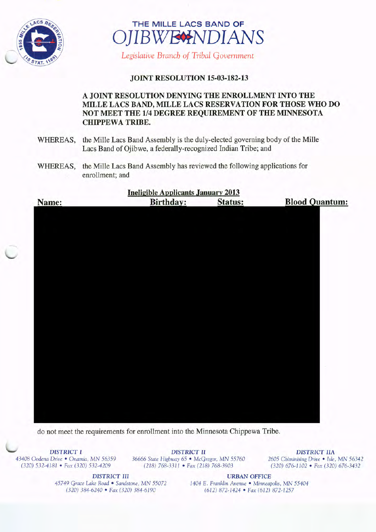



Legislative Branch of Tribal Government

## JOINT RESOLUTION 15-03-182-13

## A JOINT RESOLUTION DENYING THE ENROLLMENT INTO THE MILLE LACS BAND, MILLE LACS RESERVATION FOR THOSE WHO DO NOT MEET THE 1/4 DEGREE REQUIREMENT OF THE MINNESOTA CHIPPEWA TRIBE.

- WHEREAS, the Mille Lacs Band Assembly is the duly-elected governing body of the Mille Lacs Band of Ojibwe, a federally-recognized Indian Tribe; and
- WHEREAS, the Mille Lacs Band Assembly has reviewed the following applications for enrollment; and

|       | <b>Ineligible Applicants January 2013</b> |                |                       |
|-------|-------------------------------------------|----------------|-----------------------|
| Name: | <b>Birthday:</b>                          | <b>Status:</b> | <b>Blood Quantum:</b> |
|       |                                           |                |                       |
|       |                                           |                |                       |
|       |                                           |                |                       |
|       |                                           |                |                       |
|       |                                           |                |                       |
|       |                                           |                |                       |
|       |                                           |                |                       |
|       |                                           |                |                       |
|       |                                           |                |                       |
|       |                                           |                |                       |
|       |                                           |                |                       |
|       |                                           |                |                       |
|       |                                           |                |                       |
|       |                                           |                |                       |
|       |                                           |                |                       |
|       |                                           |                |                       |
|       |                                           |                |                       |
|       |                                           |                |                       |
|       |                                           |                |                       |
|       |                                           |                |                       |
|       |                                           |                |                       |
|       |                                           |                |                       |

do not meet the requirements for enrollment into the Minnesota Chippewa Tribe.

DISTRICT I DISTRICT II DISTRICT II DISTRICT IIA<br>43408 Oodena Drive • Onamia, MN 56359 36666 State Highway 65 • McGregor, MN 55760 2605 Chiminising Drive • Isle, 43408 Oodena Drive • Onamia, MN 56359 36666 State Highway 65 • McGregor, MN 55760 <sup>2605</sup> Chiminising Drive • Isle, MN 56342 (218) 768-3311 • Fax( 218) 768-3903

DISTRICT III URBAN OFFICE

45749 Grace Lake Road • Sandstone, MN 55072 1404 E. Franklin Avenue • Minneapolis, MN 55404<br>(320) 384-6240 • Fax (320) 384-6190 (612) 872-1424 • Fax (612) 872-1257 320) 384-6240 • Fax( 320) 384- 6190 612) 872- 1424 • Fax( 612) 872- 1257